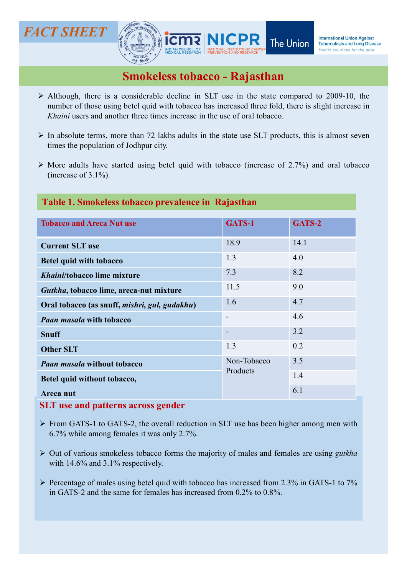# FACT SHEET



- Although, there is a considerable decline in SLT use in the state compared to 2009-10, the number of those using betel quid with tobacco has increased three fold, there is slight increase in *Khaini* users and another thr T **SHEET**<br> **NICPR** The Union **International Union Against**<br> **Smokeless tobacco - Rajasthan**<br>
Although, there is a considerable decline in SLT use in the state compared to 2009-10, the<br> *Khaini* users and another three tim **EXAMPLE TERRE AND SERVE AND SERVE AND SERVE AND ALL CONSUMERATE AND ALL CONSUMERATE AND ADDED SURVEY ON A DURING A MONDED SURVEY AND SURVEY ON A MONDED SURVEY OF A MONDED SURVEY OF A MONDED SURVEY OF A MONDED SURVEY OF A** INTERT SHEET SURVERTIMED INTERNATION CONTROLLED THE UNION INTERNATIONAL DISPOSE THE UNION INTERNATIONAL DISPOSE SURVEY SURVEY THE UNION OF DRIVER SURVEY SURVEY SURVEY SURVEY SURVEY SURVEY SURVEY AND THE STATE USE IN THE S T **SHEET**<br> **THERET SURVERT THE UNION TREVALUS CONSUMERED TO A SURVERT THE UNION DISTURBAND INCONDUCT TO A SURVERTED SURVERTED SURVERTED TO THE POPULATION OF DRUG CONSUMING THE POPULATION OF DRUG NUMBER OF THE POPULATION O** MORE ANTIFUTE THE CONSIDENTIAL CORRECT THE Union Therefore is started processes to the present of the pastel of the present of the pastel of the pastel quid with tobacco (increase of 2.009-10, the number of those using be
- 
- 

# Table 1. Smokeless tobacco prevalence in Rajasthan

|                                                                                                                                                                                                                                                                                                 |                          | Health solutions for the poor |
|-------------------------------------------------------------------------------------------------------------------------------------------------------------------------------------------------------------------------------------------------------------------------------------------------|--------------------------|-------------------------------|
| <b>Smokeless tobacco - Rajasthan</b>                                                                                                                                                                                                                                                            |                          |                               |
| $\triangleright$ Although, there is a considerable decline in SLT use in the state compared to 2009-10, the<br>number of those using betel quid with tobacco has increased three fold, there is slight increase in<br>Khaini users and another three times increase in the use of oral tobacco. |                          |                               |
| $\triangleright$ In absolute terms, more than 72 lakhs adults in the state use SLT products, this is almost seven<br>times the population of Jodhpur city.                                                                                                                                      |                          |                               |
| $\triangleright$ More adults have started using betel quid with tobacco (increase of 2.7%) and oral tobacco<br>(increase of $3.1\%$ ).                                                                                                                                                          |                          |                               |
| Table 1. Smokeless tobacco prevalence in Rajasthan                                                                                                                                                                                                                                              |                          |                               |
| <b>Tobacco and Areca Nut use</b>                                                                                                                                                                                                                                                                | GATS-1                   | GATS-2                        |
| <b>Current SLT use</b>                                                                                                                                                                                                                                                                          | 18.9                     | 14.1                          |
| <b>Betel quid with tobacco</b>                                                                                                                                                                                                                                                                  | 1.3                      | 4.0                           |
| Khaini/tobacco lime mixture                                                                                                                                                                                                                                                                     | 7.3                      | 8.2                           |
| Gutkha, tobacco lime, areca-nut mixture                                                                                                                                                                                                                                                         | 11.5                     | 9.0                           |
| Oral tobacco (as snuff, mishri, gul, gudakhu)                                                                                                                                                                                                                                                   | 1.6                      | 4.7                           |
| <b>Paan masala with tobacco</b>                                                                                                                                                                                                                                                                 | $\overline{\phantom{a}}$ | 4.6                           |
| <b>Snuff</b>                                                                                                                                                                                                                                                                                    | $\overline{\phantom{0}}$ | 3.2                           |
| <b>Other SLT</b>                                                                                                                                                                                                                                                                                | 1.3                      | 0.2                           |
| <b>Paan masala without tobacco</b>                                                                                                                                                                                                                                                              | Non-Tobacco<br>Products  | 3.5                           |
| Betel quid without tobacco,                                                                                                                                                                                                                                                                     |                          | 1.4                           |
| Areca nut                                                                                                                                                                                                                                                                                       |                          | 6.1                           |
| <b>SLT</b> use and patterns across gender                                                                                                                                                                                                                                                       |                          |                               |
| $\triangleright$ From GATS-1 to GATS-2, the overall reduction in SLT use has been higher among men with<br>6.7% while among females it was only 2.7%.                                                                                                                                           |                          |                               |
| $\triangleright$ Out of various smokeless tobacco forms the majority of males and females are using <i>gutkha</i><br>with $14.6\%$ and $3.1\%$ respectively.                                                                                                                                    |                          |                               |
| $\triangleright$ Percentage of males using betel quid with tobacco has increased from 2.3% in GATS-1 to 7%<br>in GATS-2 and the same for females has increased from 0.2% to 0.8%.                                                                                                               |                          |                               |
|                                                                                                                                                                                                                                                                                                 |                          |                               |
|                                                                                                                                                                                                                                                                                                 |                          |                               |

- 
- 
-